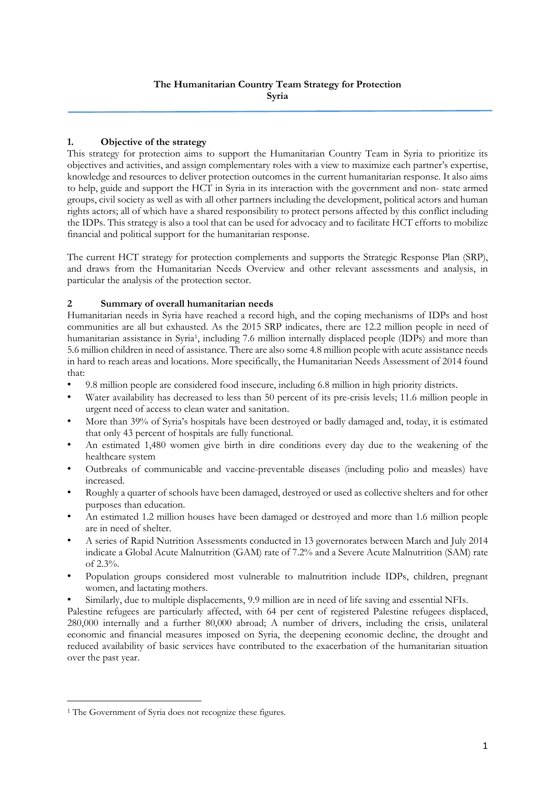# **1. Objective of the strategy**

This strategy for protection aims to support the Humanitarian Country Team in Syria to prioritize its objectives and activities, and assign complementary roles with a view to maximize each partner's expertise, knowledge and resources to deliver protection outcomes in the current humanitarian response. It also aims to help, guide and support the HCT in Syria in its interaction with the government and non- state armed groups, civil society as well as with all other partners including the development, political actors and human rights actors; all of which have a shared responsibility to protect persons affected by this conflict including the IDPs. This strategy is also a tool that can be used for advocacy and to facilitate HCT efforts to mobilize financial and political support for the humanitarian response.

The current HCT strategy for protection complements and supports the Strategic Response Plan (SRP), and draws from the Humanitarian Needs Overview and other relevant assessments and analysis, in particular the analysis of the protection sector.

#### **2 Summary of overall humanitarian needs**

Humanitarian needs in Syria have reached a record high, and the coping mechanisms of IDPs and host communities are all but exhausted. As the 2015 SRP indicates, there are 12.2 million people in need of humanitarian assistance in Syria<sup>1</sup> , including 7.6 million internally displaced people (IDPs) and more than 5.6 million children in need of assistance. There are also some 4.8 million people with acute assistance needs in hard to reach areas and locations. More specifically, the Humanitarian Needs Assessment of 2014 found that:

- 9.8 million people are considered food insecure, including 6.8 million in high priority districts.
- Water availability has decreased to less than 50 percent of its pre-crisis levels; 11.6 million people in urgent need of access to clean water and sanitation.
- More than 39% of Syria's hospitals have been destroyed or badly damaged and, today, it is estimated that only 43 percent of hospitals are fully functional.
- An estimated 1,480 women give birth in dire conditions every day due to the weakening of the healthcare system
- Outbreaks of communicable and vaccine-preventable diseases (including polio and measles) have increased.
- Roughly a quarter of schools have been damaged, destroyed or used as collective shelters and for other purposes than education.
- An estimated 1.2 million houses have been damaged or destroyed and more than 1.6 million people are in need of shelter.
- A series of Rapid Nutrition Assessments conducted in 13 governorates between March and July 2014 indicate a Global Acute Malnutrition (GAM) rate of 7.2% and a Severe Acute Malnutrition (SAM) rate of 2.3%.
- Population groups considered most vulnerable to malnutrition include IDPs, children, pregnant women, and lactating mothers.
- Similarly, due to multiple displacements, 9.9 million are in need of life saving and essential NFIs.

Palestine refugees are particularly affected, with 64 per cent of registered Palestine refugees displaced, 280,000 internally and a further 80,000 abroad; A number of drivers, including the crisis, unilateral economic and financial measures imposed on Syria, the deepening economic decline, the drought and reduced availability of basic services have contributed to the exacerbation of the humanitarian situation over the past year.

 $\overline{a}$ 

<sup>1</sup> The Government of Syria does not recognize these figures.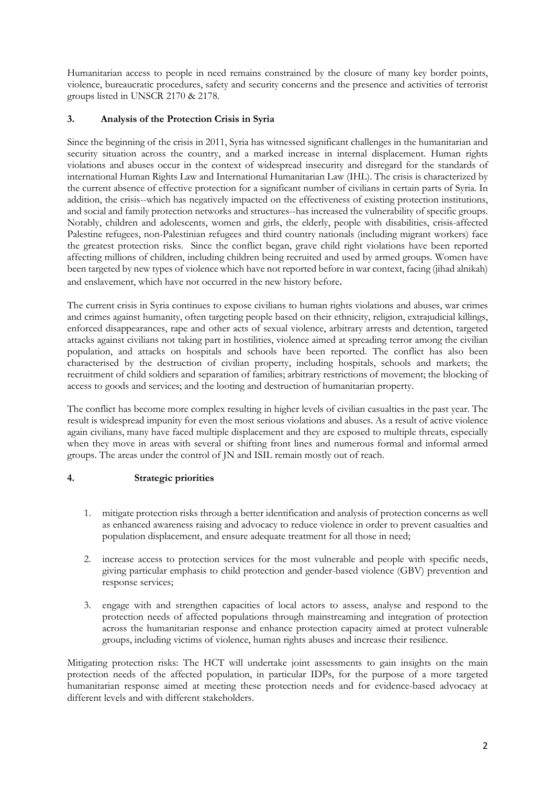Humanitarian access to people in need remains constrained by the closure of many key border points, violence, bureaucratic procedures, safety and security concerns and the presence and activities of terrorist groups listed in UNSCR 2170 & 2178.

# **3. Analysis of the Protection Crisis in Syria**

Since the beginning of the crisis in 2011, Syria has witnessed significant challenges in the humanitarian and security situation across the country, and a marked increase in internal displacement. Human rights violations and abuses occur in the context of widespread insecurity and disregard for the standards of international Human Rights Law and International Humanitarian Law (IHL). The crisis is characterized by the current absence of effective protection for a significant number of civilians in certain parts of Syria. In addition, the crisis--which has negatively impacted on the effectiveness of existing protection institutions, and social and family protection networks and structures--has increased the vulnerability of specific groups. Notably, children and adolescents, women and girls, the elderly, people with disabilities, crisis-affected Palestine refugees, non-Palestinian refugees and third country nationals (including migrant workers) face the greatest protection risks. Since the conflict began, grave child right violations have been reported affecting millions of children, including children being recruited and used by armed groups. Women have been targeted by new types of violence which have not reported before in war context, facing (jihad alnikah) and enslavement, which have not occurred in the new history before.

The current crisis in Syria continues to expose civilians to human rights violations and abuses, war crimes and crimes against humanity, often targeting people based on their ethnicity, religion, extrajudicial killings, enforced disappearances, rape and other acts of sexual violence, arbitrary arrests and detention, targeted attacks against civilians not taking part in hostilities, violence aimed at spreading terror among the civilian population, and attacks on hospitals and schools have been reported. The conflict has also been characterised by the destruction of civilian property, including hospitals, schools and markets; the recruitment of child soldiers and separation of families; arbitrary restrictions of movement; the blocking of access to goods and services; and the looting and destruction of humanitarian property.

The conflict has become more complex resulting in higher levels of civilian casualties in the past year. The result is widespread impunity for even the most serious violations and abuses. As a result of active violence again civilians, many have faced multiple displacement and they are exposed to multiple threats, especially when they move in areas with several or shifting front lines and numerous formal and informal armed groups. The areas under the control of JN and ISIL remain mostly out of reach.

# **4. Strategic priorities**

- 1. mitigate protection risks through a better identification and analysis of protection concerns as well as enhanced awareness raising and advocacy to reduce violence in order to prevent casualties and population displacement, and ensure adequate treatment for all those in need;
- 2. increase access to protection services for the most vulnerable and people with specific needs, giving particular emphasis to child protection and gender-based violence (GBV) prevention and response services;
- 3. engage with and strengthen capacities of local actors to assess, analyse and respond to the protection needs of affected populations through mainstreaming and integration of protection across the humanitarian response and enhance protection capacity aimed at protect vulnerable groups, including victims of violence, human rights abuses and increase their resilience.

Mitigating protection risks: The HCT will undertake joint assessments to gain insights on the main protection needs of the affected population, in particular IDPs, for the purpose of a more targeted humanitarian response aimed at meeting these protection needs and for evidence-based advocacy at different levels and with different stakeholders.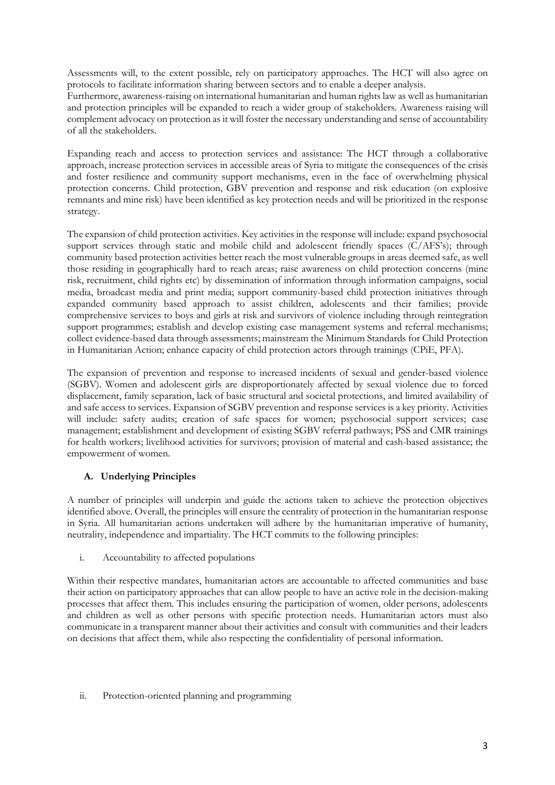Assessments will, to the extent possible, rely on participatory approaches. The HCT will also agree on protocols to facilitate information sharing between sectors and to enable a deeper analysis. Furthermore, awareness-raising on international humanitarian and human rights law as well as humanitarian and protection principles will be expanded to reach a wider group of stakeholders. Awareness raising will complement advocacy on protection as it will foster the necessary understanding and sense of accountability of all the stakeholders.

Expanding reach and access to protection services and assistance: The HCT through a collaborative approach, increase protection services in accessible areas of Syria to mitigate the consequences of the crisis and foster resilience and community support mechanisms, even in the face of overwhelming physical protection concerns. Child protection, GBV prevention and response and risk education (on explosive remnants and mine risk) have been identified as key protection needs and will be prioritized in the response strategy.

The expansion of child protection activities. Key activities in the response will include: expand psychosocial support services through static and mobile child and adolescent friendly spaces (C/AFS's); through community based protection activities better reach the most vulnerable groups in areas deemed safe, as well those residing in geographically hard to reach areas; raise awareness on child protection concerns (mine risk, recruitment, child rights etc) by dissemination of information through information campaigns, social media, broadcast media and print media; support community-based child protection initiatives through expanded community based approach to assist children, adolescents and their families; provide comprehensive services to boys and girls at risk and survivors of violence including through reintegration support programmes; establish and develop existing case management systems and referral mechanisms; collect evidence-based data through assessments; mainstream the Minimum Standards for Child Protection in Humanitarian Action; enhance capacity of child protection actors through trainings (CPiE, PFA).

The expansion of prevention and response to increased incidents of sexual and gender-based violence (SGBV). Women and adolescent girls are disproportionately affected by sexual violence due to forced displacement, family separation, lack of basic structural and societal protections, and limited availability of and safe access to services. Expansion of SGBV prevention and response services is a key priority. Activities will include: safety audits; creation of safe spaces for women; psychosocial support services; case management; establishment and development of existing SGBV referral pathways; PSS and CMR trainings for health workers; livelihood activities for survivors; provision of material and cash-based assistance; the empowerment of women.

# **A. Underlying Principles**

A number of principles will underpin and guide the actions taken to achieve the protection objectives identified above. Overall, the principles will ensure the centrality of protection in the humanitarian response in Syria. All humanitarian actions undertaken will adhere by the humanitarian imperative of humanity, neutrality, independence and impartiality. The HCT commits to the following principles:

i. Accountability to affected populations

Within their respective mandates, humanitarian actors are accountable to affected communities and base their action on participatory approaches that can allow people to have an active role in the decision-making processes that affect them. This includes ensuring the participation of women, older persons, adolescents and children as well as other persons with specific protection needs. Humanitarian actors must also communicate in a transparent manner about their activities and consult with communities and their leaders on decisions that affect them, while also respecting the confidentiality of personal information.

#### ii. Protection-oriented planning and programming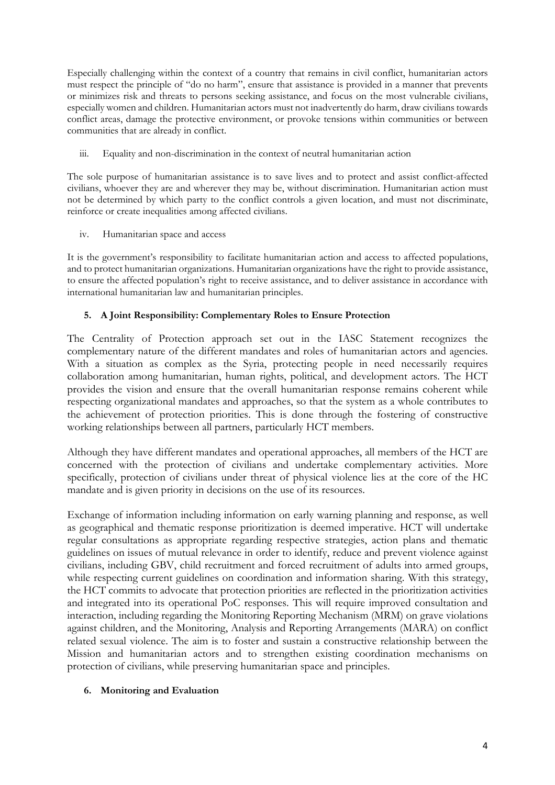Especially challenging within the context of a country that remains in civil conflict, humanitarian actors must respect the principle of "do no harm", ensure that assistance is provided in a manner that prevents or minimizes risk and threats to persons seeking assistance, and focus on the most vulnerable civilians, especially women and children. Humanitarian actors must not inadvertently do harm, draw civilians towards conflict areas, damage the protective environment, or provoke tensions within communities or between communities that are already in conflict.

iii. Equality and non-discrimination in the context of neutral humanitarian action

The sole purpose of humanitarian assistance is to save lives and to protect and assist conflict-affected civilians, whoever they are and wherever they may be, without discrimination. Humanitarian action must not be determined by which party to the conflict controls a given location, and must not discriminate, reinforce or create inequalities among affected civilians.

iv. Humanitarian space and access

It is the government's responsibility to facilitate humanitarian action and access to affected populations, and to protect humanitarian organizations. Humanitarian organizations have the right to provide assistance, to ensure the affected population's right to receive assistance, and to deliver assistance in accordance with international humanitarian law and humanitarian principles.

# **5. A Joint Responsibility: Complementary Roles to Ensure Protection**

The Centrality of Protection approach set out in the IASC Statement recognizes the complementary nature of the different mandates and roles of humanitarian actors and agencies. With a situation as complex as the Syria, protecting people in need necessarily requires collaboration among humanitarian, human rights, political, and development actors. The HCT provides the vision and ensure that the overall humanitarian response remains coherent while respecting organizational mandates and approaches, so that the system as a whole contributes to the achievement of protection priorities. This is done through the fostering of constructive working relationships between all partners, particularly HCT members.

Although they have different mandates and operational approaches, all members of the HCT are concerned with the protection of civilians and undertake complementary activities. More specifically, protection of civilians under threat of physical violence lies at the core of the HC mandate and is given priority in decisions on the use of its resources.

Exchange of information including information on early warning planning and response, as well as geographical and thematic response prioritization is deemed imperative. HCT will undertake regular consultations as appropriate regarding respective strategies, action plans and thematic guidelines on issues of mutual relevance in order to identify, reduce and prevent violence against civilians, including GBV, child recruitment and forced recruitment of adults into armed groups, while respecting current guidelines on coordination and information sharing. With this strategy, the HCT commits to advocate that protection priorities are reflected in the prioritization activities and integrated into its operational PoC responses. This will require improved consultation and interaction, including regarding the Monitoring Reporting Mechanism (MRM) on grave violations against children, and the Monitoring, Analysis and Reporting Arrangements (MARA) on conflict related sexual violence. The aim is to foster and sustain a constructive relationship between the Mission and humanitarian actors and to strengthen existing coordination mechanisms on protection of civilians, while preserving humanitarian space and principles.

#### **6. Monitoring and Evaluation**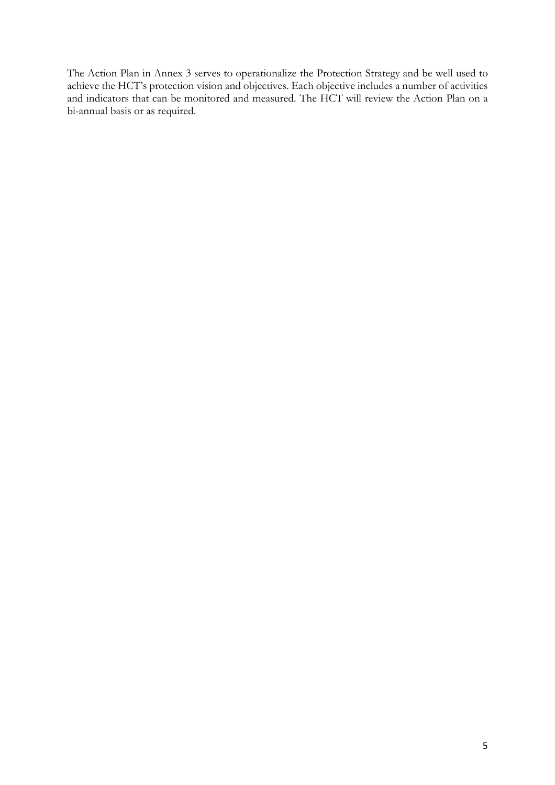The Action Plan in Annex 3 serves to operationalize the Protection Strategy and be well used to achieve the HCT's protection vision and objectives. Each objective includes a number of activities and indicators that can be monitored and measured. The HCT will review the Action Plan on a bi-annual basis or as required.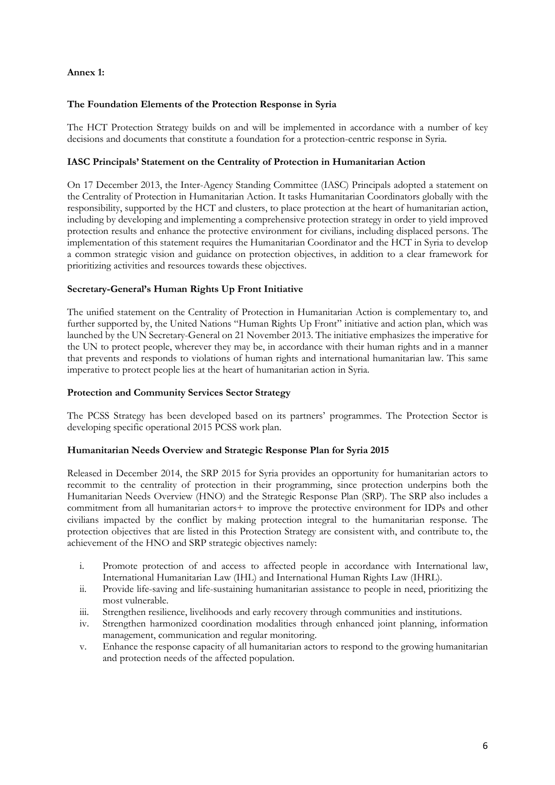## **Annex 1:**

#### **The Foundation Elements of the Protection Response in Syria**

The HCT Protection Strategy builds on and will be implemented in accordance with a number of key decisions and documents that constitute a foundation for a protection-centric response in Syria.

#### **IASC Principals' Statement on the Centrality of Protection in Humanitarian Action**

On 17 December 2013, the Inter-Agency Standing Committee (IASC) Principals adopted a statement on the Centrality of Protection in Humanitarian Action. It tasks Humanitarian Coordinators globally with the responsibility, supported by the HCT and clusters, to place protection at the heart of humanitarian action, including by developing and implementing a comprehensive protection strategy in order to yield improved protection results and enhance the protective environment for civilians, including displaced persons. The implementation of this statement requires the Humanitarian Coordinator and the HCT in Syria to develop a common strategic vision and guidance on protection objectives, in addition to a clear framework for prioritizing activities and resources towards these objectives.

## **Secretary-General's Human Rights Up Front Initiative**

The unified statement on the Centrality of Protection in Humanitarian Action is complementary to, and further supported by, the United Nations "Human Rights Up Front" initiative and action plan, which was launched by the UN Secretary-General on 21 November 2013. The initiative emphasizes the imperative for the UN to protect people, wherever they may be, in accordance with their human rights and in a manner that prevents and responds to violations of human rights and international humanitarian law. This same imperative to protect people lies at the heart of humanitarian action in Syria.

#### **Protection and Community Services Sector Strategy**

The PCSS Strategy has been developed based on its partners' programmes. The Protection Sector is developing specific operational 2015 PCSS work plan.

#### **Humanitarian Needs Overview and Strategic Response Plan for Syria 2015**

Released in December 2014, the SRP 2015 for Syria provides an opportunity for humanitarian actors to recommit to the centrality of protection in their programming, since protection underpins both the Humanitarian Needs Overview (HNO) and the Strategic Response Plan (SRP). The SRP also includes a commitment from all humanitarian actors+ to improve the protective environment for IDPs and other civilians impacted by the conflict by making protection integral to the humanitarian response. The protection objectives that are listed in this Protection Strategy are consistent with, and contribute to, the achievement of the HNO and SRP strategic objectives namely:

- i. Promote protection of and access to affected people in accordance with International law, International Humanitarian Law (IHL) and International Human Rights Law (IHRL).
- ii. Provide life-saving and life-sustaining humanitarian assistance to people in need, prioritizing the most vulnerable.
- iii. Strengthen resilience, livelihoods and early recovery through communities and institutions.
- iv. Strengthen harmonized coordination modalities through enhanced joint planning, information management, communication and regular monitoring.
- v. Enhance the response capacity of all humanitarian actors to respond to the growing humanitarian and protection needs of the affected population.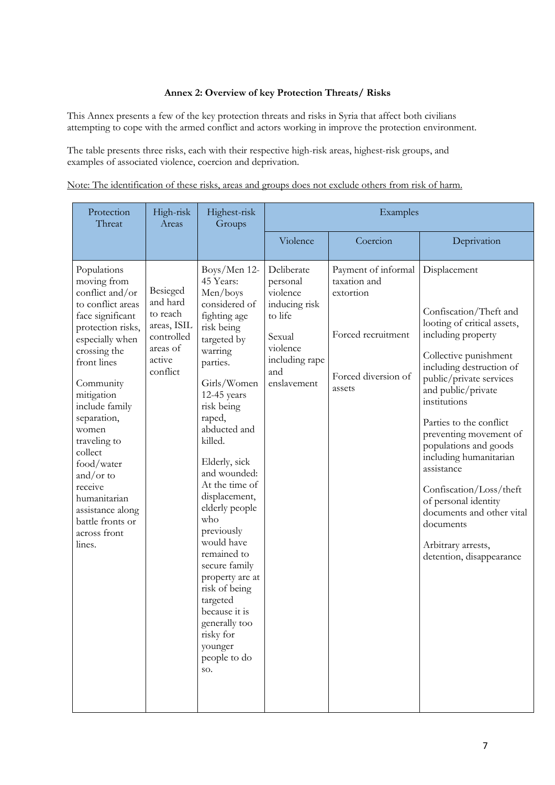## **Annex 2: Overview of key Protection Threats/ Risks**

This Annex presents a few of the key protection threats and risks in Syria that affect both civilians attempting to cope with the armed conflict and actors working in improve the protection environment.

The table presents three risks, each with their respective high-risk areas, highest-risk groups, and examples of associated violence, coercion and deprivation.

|  |  |  |  |  |  |  | Note: The identification of these risks, areas and groups does not exclude others from risk of harm. |  |  |
|--|--|--|--|--|--|--|------------------------------------------------------------------------------------------------------|--|--|
|  |  |  |  |  |  |  |                                                                                                      |  |  |
|  |  |  |  |  |  |  |                                                                                                      |  |  |

| Protection<br>High-risk<br>Threat<br>Areas                                                                                                                                                                                                                                                                                                                                            |                                                                                                 | Highest-risk<br>Groups                                                                                                                                                                                                                                                                                                                                                                                                                                                                                | Examples                                                                                                                     |                                                                                                         |                                                                                                                                                                                                                                                                                                                                                                                                                                                                                        |  |
|---------------------------------------------------------------------------------------------------------------------------------------------------------------------------------------------------------------------------------------------------------------------------------------------------------------------------------------------------------------------------------------|-------------------------------------------------------------------------------------------------|-------------------------------------------------------------------------------------------------------------------------------------------------------------------------------------------------------------------------------------------------------------------------------------------------------------------------------------------------------------------------------------------------------------------------------------------------------------------------------------------------------|------------------------------------------------------------------------------------------------------------------------------|---------------------------------------------------------------------------------------------------------|----------------------------------------------------------------------------------------------------------------------------------------------------------------------------------------------------------------------------------------------------------------------------------------------------------------------------------------------------------------------------------------------------------------------------------------------------------------------------------------|--|
|                                                                                                                                                                                                                                                                                                                                                                                       |                                                                                                 |                                                                                                                                                                                                                                                                                                                                                                                                                                                                                                       | Violence                                                                                                                     | Coercion                                                                                                | Deprivation                                                                                                                                                                                                                                                                                                                                                                                                                                                                            |  |
| Populations<br>moving from<br>conflict and/or<br>to conflict areas<br>face significant<br>protection risks,<br>especially when<br>crossing the<br>front lines<br>Community<br>mitigation<br>include family<br>separation,<br>women<br>traveling to<br>collect<br>food/water<br>and/or to<br>receive<br>humanitarian<br>assistance along<br>battle fronts or<br>across front<br>lines. | Besieged<br>and hard<br>to reach<br>areas, ISIL<br>controlled<br>areas of<br>active<br>conflict | Boys/Men 12-<br>45 Years:<br>Men/boys<br>considered of<br>fighting age<br>risk being<br>targeted by<br>warring<br>parties.<br>Girls/Women<br>12-45 years<br>risk being<br>raped,<br>abducted and<br>killed.<br>Elderly, sick<br>and wounded:<br>At the time of<br>displacement,<br>elderly people<br>who<br>previously<br>would have<br>remained to<br>secure family<br>property are at<br>risk of being<br>targeted<br>because it is<br>generally too<br>risky for<br>younger<br>people to do<br>SO. | Deliberate<br>personal<br>violence<br>inducing risk<br>to life<br>Sexual<br>violence<br>including rape<br>and<br>enslavement | Payment of informal<br>taxation and<br>extortion<br>Forced recruitment<br>Forced diversion of<br>assets | Displacement<br>Confiscation/Theft and<br>looting of critical assets,<br>including property<br>Collective punishment<br>including destruction of<br>public/private services<br>and public/private<br>institutions<br>Parties to the conflict<br>preventing movement of<br>populations and goods<br>including humanitarian<br>assistance<br>Confiscation/Loss/theft<br>of personal identity<br>documents and other vital<br>documents<br>Arbitrary arrests,<br>detention, disappearance |  |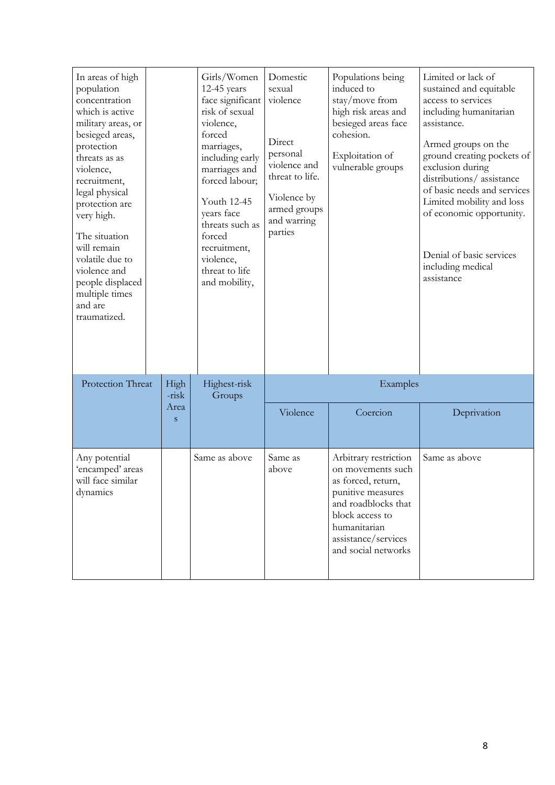| In areas of high<br>population<br>concentration<br>which is active<br>military areas, or<br>besieged areas,<br>protection<br>threats as as<br>violence,<br>recruitment,<br>legal physical<br>protection are<br>very high.<br>The situation<br>will remain<br>volatile due to<br>violence and<br>people displaced<br>multiple times<br>and are<br>traumatized. |               |           | Girls/Women<br>12-45 years<br>face significant<br>risk of sexual<br>violence,<br>forced<br>marriages,<br>including early<br>marriages and<br>forced labour;<br>Youth 12-45<br>years face<br>threats such as<br>forced<br>recruitment,<br>violence,<br>threat to life<br>and mobility, | Domestic<br>sexual<br>violence<br>Direct<br>personal<br>violence and<br>threat to life.<br>Violence by<br>armed groups<br>and warring<br>parties | Populations being<br>induced to<br>stay/move from<br>high risk areas and<br>besieged areas face<br>cohesion.<br>Exploitation of<br>vulnerable groups                                          | Limited or lack of<br>sustained and equitable<br>access to services<br>including humanitarian<br>assistance.<br>Armed groups on the<br>ground creating pockets of<br>exclusion during<br>distributions/assistance<br>of basic needs and services<br>Limited mobility and loss<br>of economic opportunity.<br>Denial of basic services<br>including medical<br>assistance |  |
|---------------------------------------------------------------------------------------------------------------------------------------------------------------------------------------------------------------------------------------------------------------------------------------------------------------------------------------------------------------|---------------|-----------|---------------------------------------------------------------------------------------------------------------------------------------------------------------------------------------------------------------------------------------------------------------------------------------|--------------------------------------------------------------------------------------------------------------------------------------------------|-----------------------------------------------------------------------------------------------------------------------------------------------------------------------------------------------|--------------------------------------------------------------------------------------------------------------------------------------------------------------------------------------------------------------------------------------------------------------------------------------------------------------------------------------------------------------------------|--|
| Protection Threat                                                                                                                                                                                                                                                                                                                                             | High<br>-risk |           | Highest-risk<br>Groups                                                                                                                                                                                                                                                                | Examples                                                                                                                                         |                                                                                                                                                                                               |                                                                                                                                                                                                                                                                                                                                                                          |  |
|                                                                                                                                                                                                                                                                                                                                                               |               | Area<br>S |                                                                                                                                                                                                                                                                                       | Violence                                                                                                                                         | Coercion                                                                                                                                                                                      | Deprivation                                                                                                                                                                                                                                                                                                                                                              |  |
| Any potential<br>'encamped' areas<br>will face similar<br>dynamics                                                                                                                                                                                                                                                                                            |               |           | Same as above                                                                                                                                                                                                                                                                         | Same as<br>above                                                                                                                                 | Arbitrary restriction<br>on movements such<br>as forced, return,<br>punitive measures<br>and roadblocks that<br>block access to<br>humanitarian<br>assistance/services<br>and social networks | Same as above                                                                                                                                                                                                                                                                                                                                                            |  |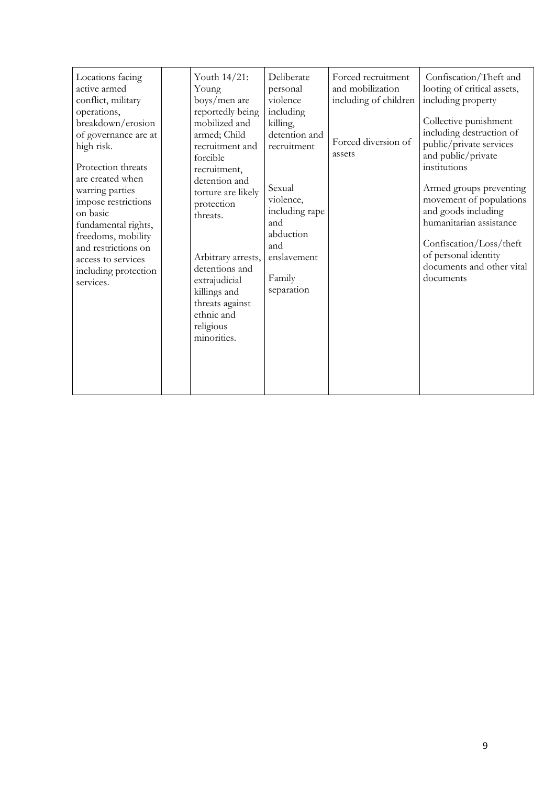| Locations facing<br>active armed<br>conflict, military<br>operations,<br>breakdown/erosion<br>of governance are at<br>high risk.<br>Protection threats<br>are created when<br>warring parties<br>impose restrictions<br>on basic<br>fundamental rights,<br>freedoms, mobility<br>and restrictions on<br>access to services<br>including protection<br>services. |  | Youth 14/21:<br>Young<br>boys/men are<br>reportedly being<br>mobilized and<br>armed; Child<br>recruitment and<br>forcible<br>recruitment,<br>detention and<br>torture are likely<br>protection<br>threats.<br>Arbitrary arrests,<br>detentions and<br>extrajudicial<br>killings and<br>threats against<br>ethnic and<br>religious<br>minorities. | Deliberate<br>personal<br>violence<br>including<br>killing,<br>detention and<br>recruitment<br>Sexual<br>violence,<br>including rape<br>and<br>abduction<br>and<br>enslavement<br>Family<br>separation | Forced recruitment<br>and mobilization<br>including of children<br>Forced diversion of<br>assets | Confiscation/Theft and<br>looting of critical assets,<br>including property<br>Collective punishment<br>including destruction of<br>public/private services<br>and public/private<br>institutions<br>Armed groups preventing<br>movement of populations<br>and goods including<br>humanitarian assistance<br>Confiscation/Loss/theft<br>of personal identity<br>documents and other vital<br>documents |
|-----------------------------------------------------------------------------------------------------------------------------------------------------------------------------------------------------------------------------------------------------------------------------------------------------------------------------------------------------------------|--|--------------------------------------------------------------------------------------------------------------------------------------------------------------------------------------------------------------------------------------------------------------------------------------------------------------------------------------------------|--------------------------------------------------------------------------------------------------------------------------------------------------------------------------------------------------------|--------------------------------------------------------------------------------------------------|--------------------------------------------------------------------------------------------------------------------------------------------------------------------------------------------------------------------------------------------------------------------------------------------------------------------------------------------------------------------------------------------------------|
|-----------------------------------------------------------------------------------------------------------------------------------------------------------------------------------------------------------------------------------------------------------------------------------------------------------------------------------------------------------------|--|--------------------------------------------------------------------------------------------------------------------------------------------------------------------------------------------------------------------------------------------------------------------------------------------------------------------------------------------------|--------------------------------------------------------------------------------------------------------------------------------------------------------------------------------------------------------|--------------------------------------------------------------------------------------------------|--------------------------------------------------------------------------------------------------------------------------------------------------------------------------------------------------------------------------------------------------------------------------------------------------------------------------------------------------------------------------------------------------------|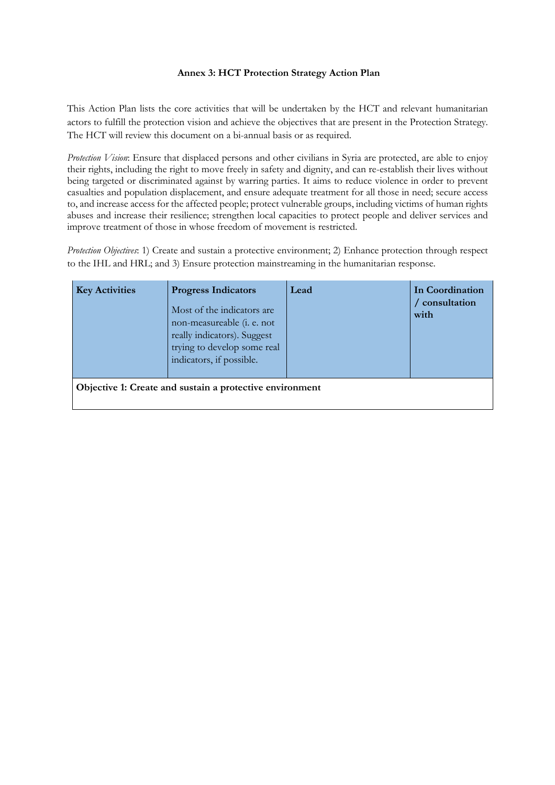## **Annex 3: HCT Protection Strategy Action Plan**

This Action Plan lists the core activities that will be undertaken by the HCT and relevant humanitarian actors to fulfill the protection vision and achieve the objectives that are present in the Protection Strategy. The HCT will review this document on a bi-annual basis or as required.

*Protection Vision*: Ensure that displaced persons and other civilians in Syria are protected, are able to enjoy their rights, including the right to move freely in safety and dignity, and can re-establish their lives without being targeted or discriminated against by warring parties. It aims to reduce violence in order to prevent casualties and population displacement, and ensure adequate treatment for all those in need; secure access to, and increase access for the affected people; protect vulnerable groups, including victims of human rights abuses and increase their resilience; strengthen local capacities to protect people and deliver services and improve treatment of those in whose freedom of movement is restricted.

*Protection Objectives*: 1) Create and sustain a protective environment; 2) Enhance protection through respect to the IHL and HRL; and 3) Ensure protection mainstreaming in the humanitarian response.

| <b>Key Activities</b> | <b>Progress Indicators</b><br>Most of the indicators are<br>non-measureable ( <i>i. e.</i> not<br>really indicators). Suggest<br>trying to develop some real<br>indicators, if possible. | Lead | In Coordination<br>consultation<br>with |
|-----------------------|------------------------------------------------------------------------------------------------------------------------------------------------------------------------------------------|------|-----------------------------------------|
|                       | Objective 1: Create and sustain a protective environment                                                                                                                                 |      |                                         |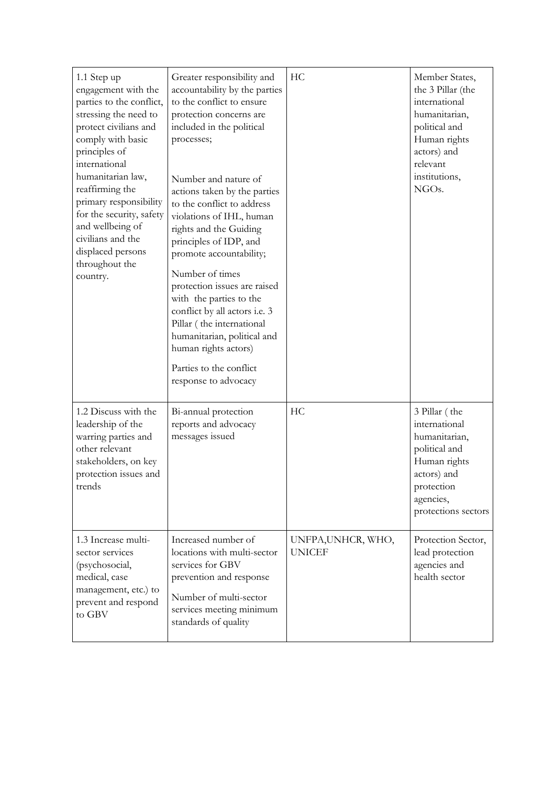| 1.1 Step up<br>engagement with the<br>parties to the conflict,<br>stressing the need to<br>protect civilians and<br>comply with basic<br>principles of<br>international<br>humanitarian law,<br>reaffirming the<br>primary responsibility<br>for the security, safety<br>and wellbeing of<br>civilians and the<br>displaced persons<br>throughout the<br>country. | Greater responsibility and<br>accountability by the parties<br>to the conflict to ensure<br>protection concerns are<br>included in the political<br>processes;<br>Number and nature of<br>actions taken by the parties<br>to the conflict to address<br>violations of IHL, human<br>rights and the Guiding<br>principles of IDP, and<br>promote accountability;<br>Number of times<br>protection issues are raised<br>with the parties to the<br>conflict by all actors i.e. 3<br>Pillar (the international<br>humanitarian, political and<br>human rights actors)<br>Parties to the conflict<br>response to advocacy | HC                                  | Member States,<br>the 3 Pillar (the<br>international<br>humanitarian,<br>political and<br>Human rights<br>actors) and<br>relevant<br>institutions,<br>NGO <sub>s</sub> . |
|-------------------------------------------------------------------------------------------------------------------------------------------------------------------------------------------------------------------------------------------------------------------------------------------------------------------------------------------------------------------|-----------------------------------------------------------------------------------------------------------------------------------------------------------------------------------------------------------------------------------------------------------------------------------------------------------------------------------------------------------------------------------------------------------------------------------------------------------------------------------------------------------------------------------------------------------------------------------------------------------------------|-------------------------------------|--------------------------------------------------------------------------------------------------------------------------------------------------------------------------|
| 1.2 Discuss with the<br>leadership of the<br>warring parties and<br>other relevant<br>stakeholders, on key<br>protection issues and<br>trends                                                                                                                                                                                                                     | Bi-annual protection<br>reports and advocacy<br>messages issued                                                                                                                                                                                                                                                                                                                                                                                                                                                                                                                                                       | HC                                  | 3 Pillar (the<br>international<br>humanitarian,<br>political and<br>Human rights<br>actors) and<br>protection<br>agencies,<br>protections sectors                        |
| 1.3 Increase multi-<br>sector services<br>(psychosocial,<br>medical, case<br>management, etc.) to<br>prevent and respond<br>to GBV                                                                                                                                                                                                                                | Increased number of<br>locations with multi-sector<br>services for GBV<br>prevention and response<br>Number of multi-sector<br>services meeting minimum<br>standards of quality                                                                                                                                                                                                                                                                                                                                                                                                                                       | UNFPA, UNHCR, WHO,<br><b>UNICEF</b> | Protection Sector,<br>lead protection<br>agencies and<br>health sector                                                                                                   |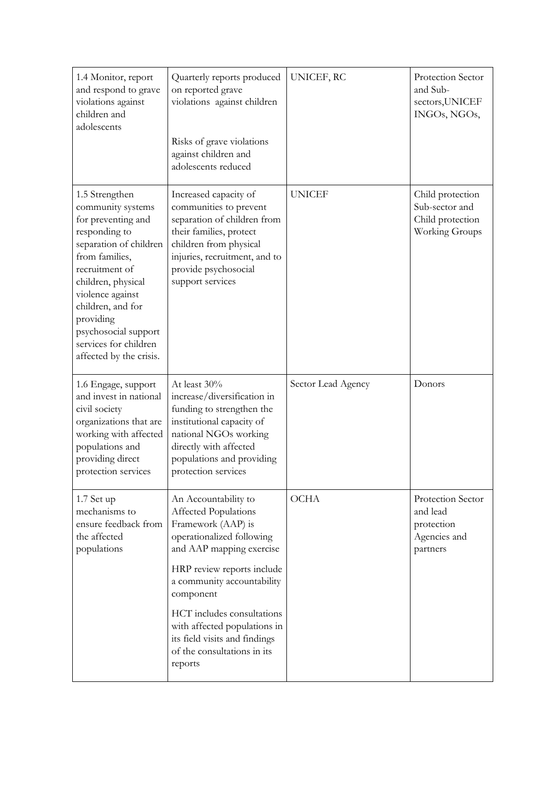| 1.4 Monitor, report<br>and respond to grave<br>violations against<br>children and<br>adolescents                                                                                                                                                                                                 | Quarterly reports produced<br>on reported grave<br>violations against children<br>Risks of grave violations<br>against children and<br>adolescents reduced                                                       | UNICEF, RC         | Protection Sector<br>and Sub-<br>sectors, UNICEF<br>INGOs, NGOs,         |
|--------------------------------------------------------------------------------------------------------------------------------------------------------------------------------------------------------------------------------------------------------------------------------------------------|------------------------------------------------------------------------------------------------------------------------------------------------------------------------------------------------------------------|--------------------|--------------------------------------------------------------------------|
| 1.5 Strengthen<br>community systems<br>for preventing and<br>responding to<br>separation of children<br>from families,<br>recruitment of<br>children, physical<br>violence against<br>children, and for<br>providing<br>psychosocial support<br>services for children<br>affected by the crisis. | Increased capacity of<br>communities to prevent<br>separation of children from<br>their families, protect<br>children from physical<br>injuries, recruitment, and to<br>provide psychosocial<br>support services | <b>UNICEF</b>      | Child protection<br>Sub-sector and<br>Child protection<br>Working Groups |
| 1.6 Engage, support<br>and invest in national<br>civil society<br>organizations that are                                                                                                                                                                                                         | At least 30%<br>increase/diversification in<br>funding to strengthen the<br>institutional capacity of                                                                                                            | Sector Lead Agency | Donors                                                                   |
| working with affected<br>populations and<br>providing direct<br>protection services                                                                                                                                                                                                              | national NGOs working<br>directly with affected<br>populations and providing<br>protection services                                                                                                              |                    |                                                                          |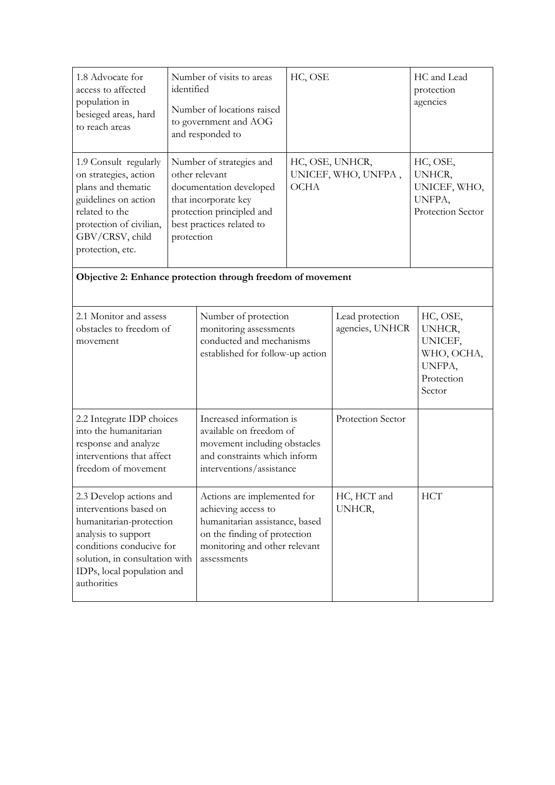| 1.8 Advocate for<br>identified<br>access to affected<br>population in<br>besieged areas, hard<br>to reach areas                                                                                                |  | Number of visits to areas<br>Number of locations raised<br>to government and AOG<br>and responded to                                                                 | HC, OSE                                               |                                    | HC and Lead<br>protection<br>agencies                                         |  |
|----------------------------------------------------------------------------------------------------------------------------------------------------------------------------------------------------------------|--|----------------------------------------------------------------------------------------------------------------------------------------------------------------------|-------------------------------------------------------|------------------------------------|-------------------------------------------------------------------------------|--|
| 1.9 Consult regularly<br>on strategies, action<br>plans and thematic<br>guidelines on action<br>related to the<br>protection of civilian,<br>GBV/CRSV, child<br>protection<br>protection, etc.                 |  | Number of strategies and<br>other relevant<br>documentation developed<br>that incorporate key<br>protection principled and<br>best practices related to              | HC, OSE, UNHCR,<br>UNICEF, WHO, UNFPA,<br><b>OCHA</b> |                                    | HC, OSE,<br>UNHCR,<br>UNICEF, WHO,<br>UNFPA,<br>Protection Sector             |  |
| Objective 2: Enhance protection through freedom of movement                                                                                                                                                    |  |                                                                                                                                                                      |                                                       |                                    |                                                                               |  |
| 2.1 Monitor and assess<br>obstacles to freedom of<br>movement                                                                                                                                                  |  | Number of protection<br>monitoring assessments<br>conducted and mechanisms<br>established for follow-up action                                                       |                                                       | Lead protection<br>agencies, UNHCR | HC, OSE,<br>UNHCR,<br>UNICEF,<br>WHO, OCHA,<br>UNFPA,<br>Protection<br>Sector |  |
| 2.2 Integrate IDP choices<br>into the humanitarian<br>response and analyze<br>interventions that affect<br>freedom of movement                                                                                 |  | Increased information is<br>available on freedom of<br>movement including obstacles<br>and constraints which inform<br>interventions/assistance                      |                                                       | Protection Sector                  |                                                                               |  |
| 2.3 Develop actions and<br>interventions based on<br>humanitarian-protection<br>analysis to support<br>conditions conducive for<br>solution, in consultation with<br>IDPs, local population and<br>authorities |  | Actions are implemented for<br>achieving access to<br>humanitarian assistance, based<br>on the finding of protection<br>monitoring and other relevant<br>assessments |                                                       | HC, HCT and<br>UNHCR,              | <b>HCT</b>                                                                    |  |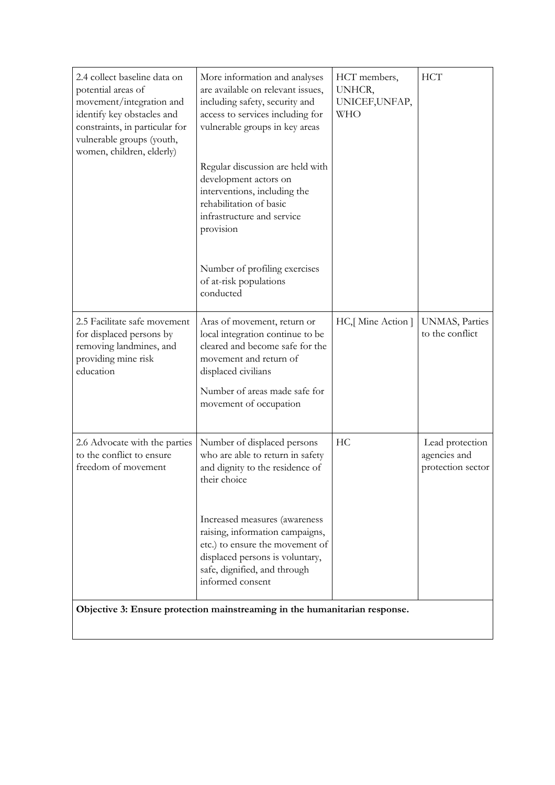| 2.4 collect baseline data on<br>potential areas of<br>movement/integration and<br>identify key obstacles and<br>constraints, in particular for<br>vulnerable groups (youth,<br>women, children, elderly) | More information and analyses<br>are available on relevant issues,<br>including safety, security and<br>access to services including for<br>vulnerable groups in key areas<br>Regular discussion are held with<br>development actors on<br>interventions, including the<br>rehabilitation of basic<br>infrastructure and service<br>provision<br>Number of profiling exercises<br>of at-risk populations<br>conducted | HCT members,<br>UNHCR,<br>UNICEF, UNFAP,<br><b>WHO</b> | <b>HCT</b>                                           |  |  |  |  |
|----------------------------------------------------------------------------------------------------------------------------------------------------------------------------------------------------------|-----------------------------------------------------------------------------------------------------------------------------------------------------------------------------------------------------------------------------------------------------------------------------------------------------------------------------------------------------------------------------------------------------------------------|--------------------------------------------------------|------------------------------------------------------|--|--|--|--|
| 2.5 Facilitate safe movement<br>for displaced persons by<br>removing landmines, and<br>providing mine risk<br>education                                                                                  | Aras of movement, return or<br>local integration continue to be<br>cleared and become safe for the<br>movement and return of<br>displaced civilians<br>Number of areas made safe for<br>movement of occupation                                                                                                                                                                                                        | HC, [Mine Action]                                      | UNMAS, Parties<br>to the conflict                    |  |  |  |  |
| 2.6 Advocate with the parties<br>to the conflict to ensure<br>freedom of movement                                                                                                                        | Number of displaced persons<br>who are able to return in safety<br>and dignity to the residence of<br>their choice<br>Increased measures (awareness<br>raising, information campaigns,<br>etc.) to ensure the movement of<br>displaced persons is voluntary,<br>safe, dignified, and through<br>informed consent                                                                                                      | HС                                                     | Lead protection<br>agencies and<br>protection sector |  |  |  |  |
| Objective 3: Ensure protection mainstreaming in the humanitarian response.                                                                                                                               |                                                                                                                                                                                                                                                                                                                                                                                                                       |                                                        |                                                      |  |  |  |  |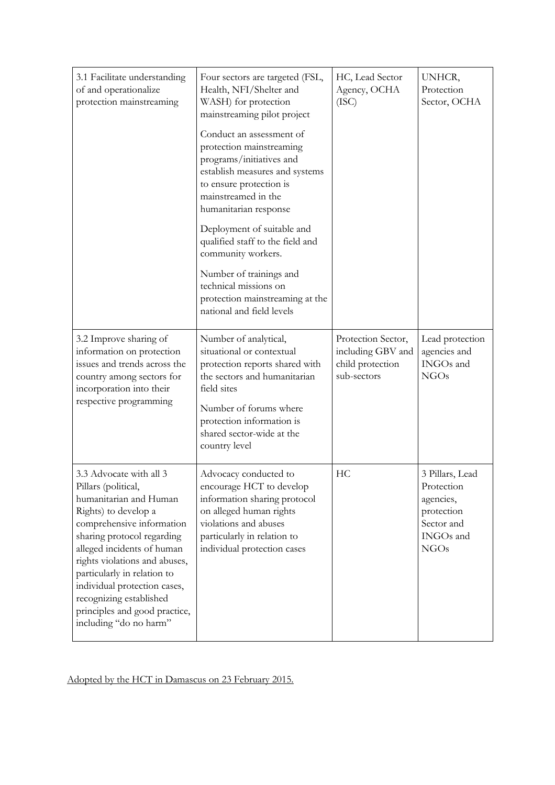| 3.1 Facilitate understanding<br>of and operationalize<br>protection mainstreaming                                                                                                                                                                                                                                                                                               | Four sectors are targeted (FSL,<br>Health, NFI/Shelter and<br>WASH) for protection<br>mainstreaming pilot project<br>Conduct an assessment of<br>protection mainstreaming<br>programs/initiatives and<br>establish measures and systems<br>to ensure protection is<br>mainstreamed in the<br>humanitarian response<br>Deployment of suitable and<br>qualified staff to the field and<br>community workers.<br>Number of trainings and<br>technical missions on<br>protection mainstreaming at the<br>national and field levels | HC, Lead Sector<br>Agency, OCHA<br>(ISC)                                   | UNHCR,<br>Protection<br>Sector, OCHA                                                               |
|---------------------------------------------------------------------------------------------------------------------------------------------------------------------------------------------------------------------------------------------------------------------------------------------------------------------------------------------------------------------------------|--------------------------------------------------------------------------------------------------------------------------------------------------------------------------------------------------------------------------------------------------------------------------------------------------------------------------------------------------------------------------------------------------------------------------------------------------------------------------------------------------------------------------------|----------------------------------------------------------------------------|----------------------------------------------------------------------------------------------------|
| 3.2 Improve sharing of<br>information on protection<br>issues and trends across the<br>country among sectors for<br>incorporation into their<br>respective programming                                                                                                                                                                                                          | Number of analytical,<br>situational or contextual<br>protection reports shared with<br>the sectors and humanitarian<br>field sites<br>Number of forums where<br>protection information is<br>shared sector-wide at the<br>country level                                                                                                                                                                                                                                                                                       | Protection Sector,<br>including GBV and<br>child protection<br>sub-sectors | Lead protection<br>agencies and<br>INGOs and<br><b>NGOs</b>                                        |
| 3.3 Advocate with all 3<br>Pillars (political,<br>humanitarian and Human<br>Rights) to develop a<br>comprehensive information<br>sharing protocol regarding<br>alleged incidents of human<br>rights violations and abuses,<br>particularly in relation to<br>individual protection cases,<br>recognizing established<br>principles and good practice,<br>including "do no harm" | Advocacy conducted to<br>encourage HCT to develop<br>information sharing protocol<br>on alleged human rights<br>violations and abuses<br>particularly in relation to<br>individual protection cases                                                                                                                                                                                                                                                                                                                            | HC                                                                         | 3 Pillars, Lead<br>Protection<br>agencies,<br>protection<br>Sector and<br>INGOs and<br><b>NGOs</b> |

# Adopted by the HCT in Damascus on 23 February 2015.